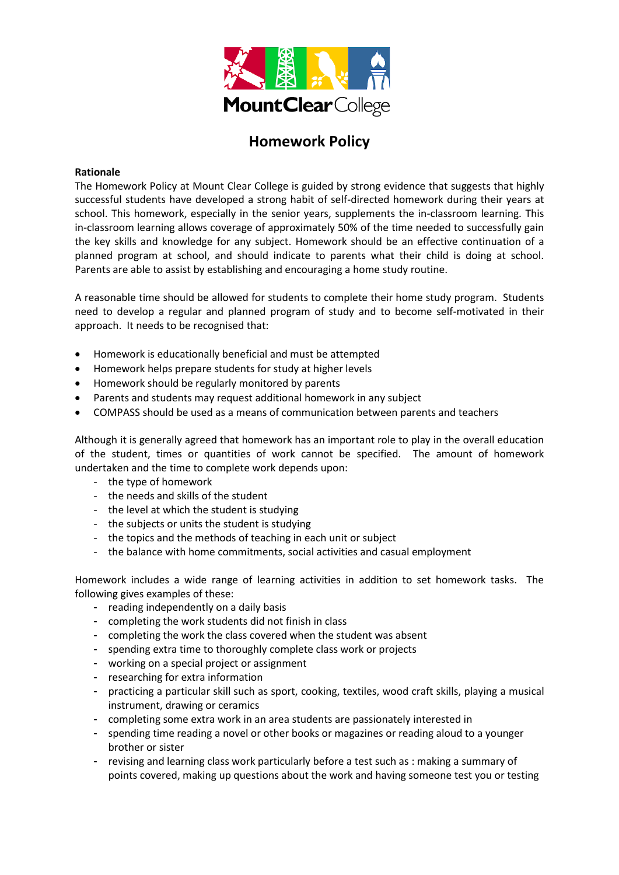

# **Homework Policy**

## **Rationale**

The Homework Policy at Mount Clear College is guided by strong evidence that suggests that highly successful students have developed a strong habit of self-directed homework during their years at school. This homework, especially in the senior years, supplements the in-classroom learning. This in-classroom learning allows coverage of approximately 50% of the time needed to successfully gain the key skills and knowledge for any subject. Homework should be an effective continuation of a planned program at school, and should indicate to parents what their child is doing at school. Parents are able to assist by establishing and encouraging a home study routine.

A reasonable time should be allowed for students to complete their home study program. Students need to develop a regular and planned program of study and to become self-motivated in their approach. It needs to be recognised that:

- Homework is educationally beneficial and must be attempted
- Homework helps prepare students for study at higher levels
- Homework should be regularly monitored by parents
- Parents and students may request additional homework in any subject
- COMPASS should be used as a means of communication between parents and teachers

Although it is generally agreed that homework has an important role to play in the overall education of the student, times or quantities of work cannot be specified. The amount of homework undertaken and the time to complete work depends upon:

- the type of homework
- the needs and skills of the student
- the level at which the student is studying
- the subjects or units the student is studying
- the topics and the methods of teaching in each unit or subject
- the balance with home commitments, social activities and casual employment

Homework includes a wide range of learning activities in addition to set homework tasks. The following gives examples of these:

- reading independently on a daily basis
- completing the work students did not finish in class
- completing the work the class covered when the student was absent
- spending extra time to thoroughly complete class work or projects
- working on a special project or assignment
- researching for extra information
- practicing a particular skill such as sport, cooking, textiles, wood craft skills, playing a musical instrument, drawing or ceramics
- completing some extra work in an area students are passionately interested in
- spending time reading a novel or other books or magazines or reading aloud to a younger brother or sister
- revising and learning class work particularly before a test such as : making a summary of points covered, making up questions about the work and having someone test you or testing